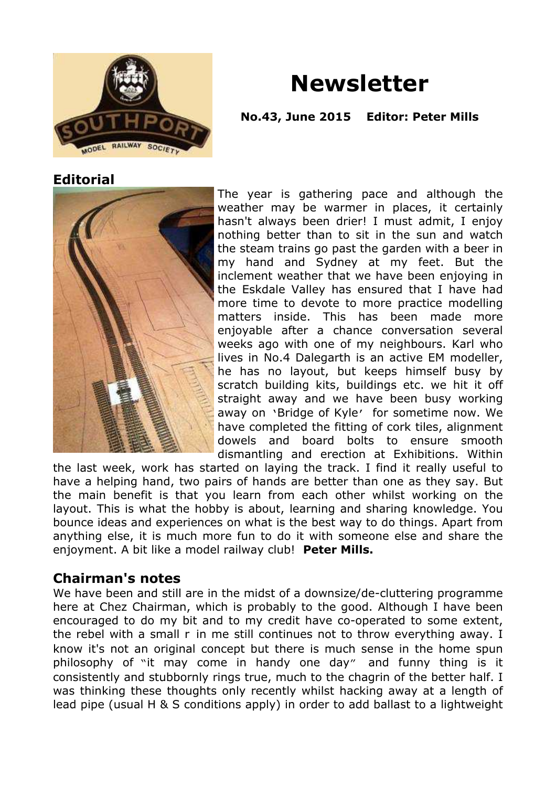

# **Newsletter**

#### **No.43, June 2015 Editor: Peter Mills**

#### **Editorial**



The year is gathering pace and although the weather may be warmer in places, it certainly hasn't always been drier! I must admit, I enjoy nothing better than to sit in the sun and watch the steam trains go past the garden with a beer in my hand and Sydney at my feet. But the inclement weather that we have been enjoying in the Eskdale Valley has ensured that I have had more time to devote to more practice modelling matters inside. This has been made more enjoyable after a chance conversation several weeks ago with one of my neighbours. Karl who lives in No.4 Dalegarth is an active EM modeller, he has no layout, but keeps himself busy by scratch building kits, buildings etc. we hit it off straight away and we have been busy working away on 'Bridge of Kyle' for sometime now. We have completed the fitting of cork tiles, alignment dowels and board bolts to ensure smooth dismantling and erection at Exhibitions. Within

the last week, work has started on laying the track. I find it really useful to have a helping hand, two pairs of hands are better than one as they say. But the main benefit is that you learn from each other whilst working on the layout. This is what the hobby is about, learning and sharing knowledge. You bounce ideas and experiences on what is the best way to do things. Apart from anything else, it is much more fun to do it with someone else and share the enjoyment. A bit like a model railway club! **Peter Mills.**

#### **Chairman's notes**

We have been and still are in the midst of a downsize/de-cluttering programme here at Chez Chairman, which is probably to the good. Although I have been encouraged to do my bit and to my credit have co-operated to some extent, the rebel with a small r in me still continues not to throw everything away. I know it's not an original concept but there is much sense in the home spun philosophy of "it may come in handy one day" and funny thing is it consistently and stubbornly rings true, much to the chagrin of the better half. I was thinking these thoughts only recently whilst hacking away at a length of lead pipe (usual H & S conditions apply) in order to add ballast to a lightweight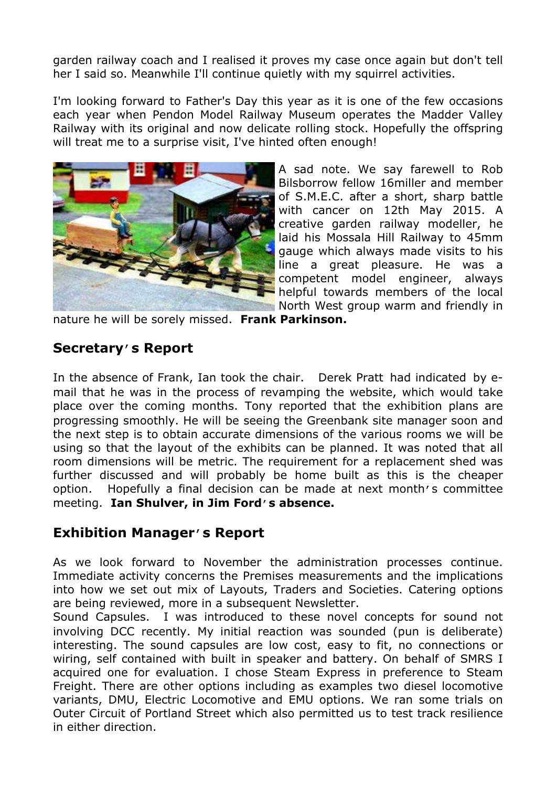garden railway coach and I realised it proves my case once again but don't tell her I said so. Meanwhile I'll continue quietly with my squirrel activities.

I'm looking forward to Father's Day this year as it is one of the few occasions each year when Pendon Model Railway Museum operates the Madder Valley Railway with its original and now delicate rolling stock. Hopefully the offspring will treat me to a surprise visit, I've hinted often enough!



A sad note. We say farewell to Rob Bilsborrow fellow 16miller and member of S.M.E.C. after a short, sharp battle with cancer on 12th May 2015. A creative garden railway modeller, he laid his Mossala Hill Railway to 45mm gauge which always made visits to his line a great pleasure. He was a competent model engineer, always helpful towards members of the local North West group warm and friendly in

nature he will be sorely missed. **Frank Parkinson.**

# **Secretary's Report**

In the absence of Frank, Ian took the chair. Derek Pratt had indicated by email that he was in the process of revamping the website, which would take place over the coming months. Tony reported that the exhibition plans are progressing smoothly. He will be seeing the Greenbank site manager soon and the next step is to obtain accurate dimensions of the various rooms we will be using so that the layout of the exhibits can be planned. It was noted that all room dimensions will be metric. The requirement for a replacement shed was further discussed and will probably be home built as this is the cheaper option. Hopefully a final decision can be made at next month's committee meeting. **Ian Shulver, in Jim Ford's absence.**

# **Exhibition Manager's Report**

As we look forward to November the administration processes continue. Immediate activity concerns the Premises measurements and the implications into how we set out mix of Layouts, Traders and Societies. Catering options are being reviewed, more in a subsequent Newsletter.

Sound Capsules. I was introduced to these novel concepts for sound not involving DCC recently. My initial reaction was sounded (pun is deliberate) interesting. The sound capsules are low cost, easy to fit, no connections or wiring, self contained with built in speaker and battery. On behalf of SMRS I acquired one for evaluation. I chose Steam Express in preference to Steam Freight. There are other options including as examples two diesel locomotive variants, DMU, Electric Locomotive and EMU options. We ran some trials on Outer Circuit of Portland Street which also permitted us to test track resilience in either direction.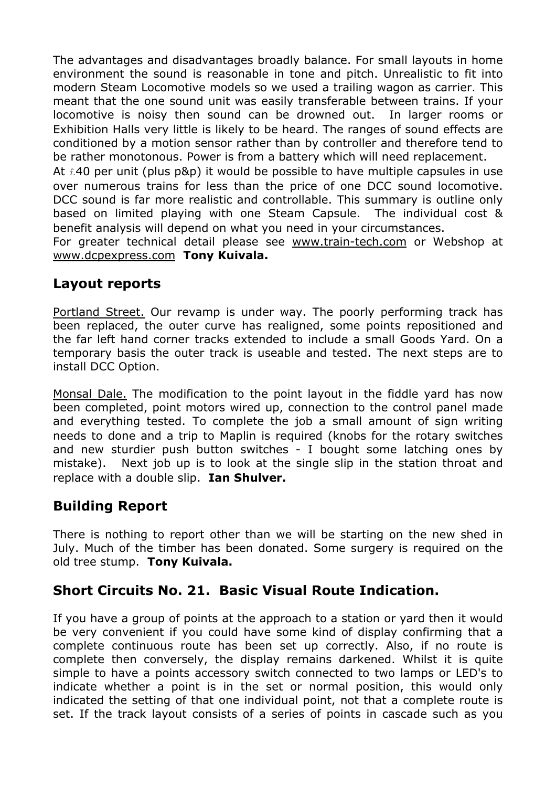The advantages and disadvantages broadly balance. For small layouts in home environment the sound is reasonable in tone and pitch. Unrealistic to fit into modern Steam Locomotive models so we used a trailing wagon as carrier. This meant that the one sound unit was easily transferable between trains. If your locomotive is noisy then sound can be drowned out. In larger rooms or Exhibition Halls very little is likely to be heard. The ranges of sound effects are conditioned by a motion sensor rather than by controller and therefore tend to be rather monotonous. Power is from a battery which will need replacement.

At  $£40$  per unit (plus p&p) it would be possible to have multiple capsules in use over numerous trains for less than the price of one DCC sound locomotive. DCC sound is far more realistic and controllable. This summary is outline only based on limited playing with one Steam Capsule. The individual cost & benefit analysis will depend on what you need in your circumstances.

For greater technical detail please see [www.train-tech.com](http://www.train-tech.com) or Webshop at [www.dcpexpress.com](http://www.dcpexpress.com) **Tony Kuivala.**

#### **Layout reports**

Portland Street. Our revamp is under way. The poorly performing track has been replaced, the outer curve has realigned, some points repositioned and the far left hand corner tracks extended to include a small Goods Yard. On a temporary basis the outer track is useable and tested. The next steps are to install DCC Option.

Monsal Dale. The modification to the point layout in the fiddle yard has now been completed, point motors wired up, connection to the control panel made and everything tested. To complete the job a small amount of sign writing needs to done and a trip to Maplin is required (knobs for the rotary switches and new sturdier push button switches - I bought some latching ones by mistake). Next job up is to look at the single slip in the station throat and replace with a double slip. **Ian Shulver.**

# **Building Report**

There is nothing to report other than we will be starting on the new shed in July. Much of the timber has been donated. Some surgery is required on the old tree stump. **Tony Kuivala.**

# **Short Circuits No. 21. Basic Visual Route Indication.**

If you have a group of points at the approach to a station or yard then it would be very convenient if you could have some kind of display confirming that a complete continuous route has been set up correctly. Also, if no route is complete then conversely, the display remains darkened. Whilst it is quite simple to have a points accessory switch connected to two lamps or LED's to indicate whether a point is in the set or normal position, this would only indicated the setting of that one individual point, not that a complete route is set. If the track layout consists of a series of points in cascade such as you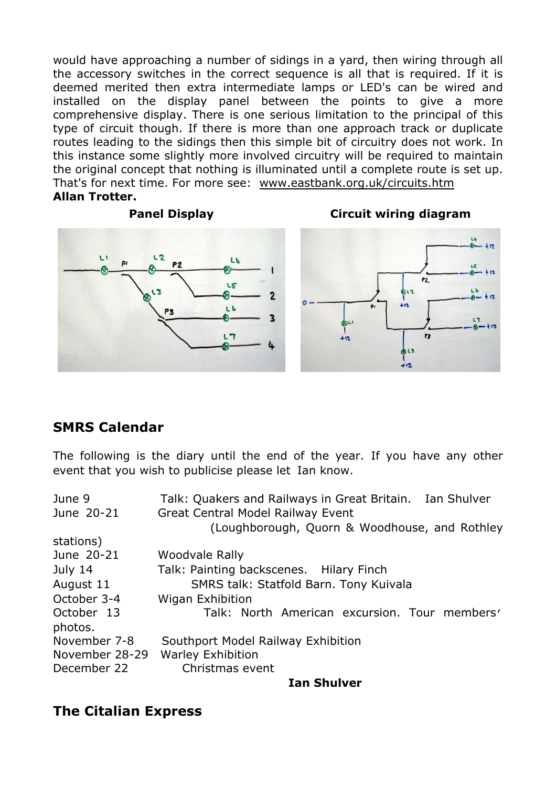would have approaching a number of sidings in a yard, then wiring through all the accessory switches in the correct sequence is all that is required. If it is deemed merited then extra intermediate lamps or LED's can be wired and installed on the display panel between the points to give a more comprehensive display. There is one serious limitation to the principal of this type of circuit though. If there is more than one approach track or duplicate routes leading to the sidings then this simple bit of circuitry does not work. In this instance some slightly more involved circuitry will be required to maintain the original concept that nothing is illuminated until a complete route is set up. That's for next time. For more see: [www.eastbank.org.uk/circuits.htm](http://www.eastbank.org.uk/circuits.htm) **Allan Trotter.**







#### **SMRS Calendar**

The following is the diary until the end of the year. If you have any other event that you wish to publicise please let Ian know.

| June 9         | Talk: Quakers and Railways in Great Britain. Ian Shulver |
|----------------|----------------------------------------------------------|
| June 20-21     | Great Central Model Railway Event                        |
|                | (Loughborough, Quorn & Woodhouse, and Rothley            |
| stations)      |                                                          |
| June 20-21     | Woodvale Rally                                           |
| July 14        | Talk: Painting backscenes. Hilary Finch                  |
| August 11      | SMRS talk: Statfold Barn. Tony Kuivala                   |
| October 3-4    | Wigan Exhibition                                         |
| October 13     | Talk: North American excursion. Tour members'            |
| photos.        |                                                          |
| November 7-8   | Southport Model Railway Exhibition                       |
| November 28-29 | <b>Warley Exhibition</b>                                 |
| December 22    | Christmas event                                          |
|                |                                                          |

**Ian Shulver**

# **The Citalian Express**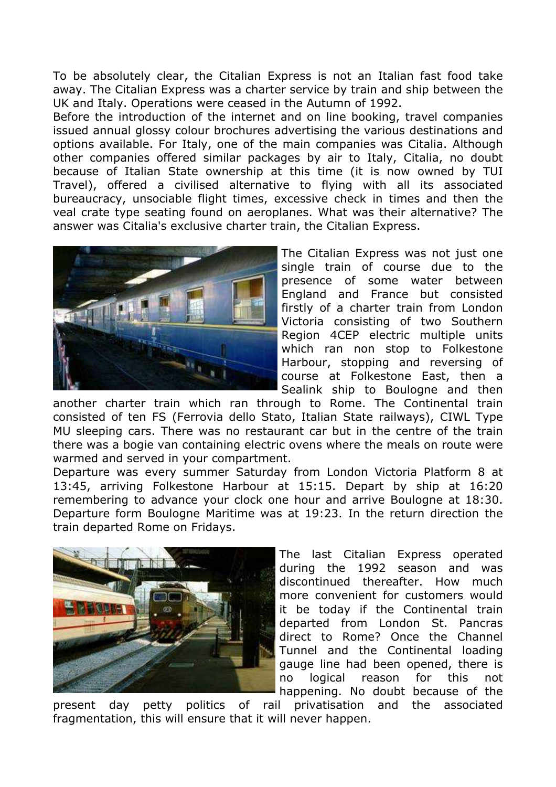To be absolutely clear, the Citalian Express is not an Italian fast food take away. The Citalian Express was a charter service by train and ship between the UK and Italy. Operations were ceased in the Autumn of 1992.

Before the introduction of the internet and on line booking, travel companies issued annual glossy colour brochures advertising the various destinations and options available. For Italy, one of the main companies was Citalia. Although other companies offered similar packages by air to Italy, Citalia, no doubt because of Italian State ownership at this time (it is now owned by TUI Travel), offered a civilised alternative to flying with all its associated bureaucracy, unsociable flight times, excessive check in times and then the veal crate type seating found on aeroplanes. What was their alternative? The answer was Citalia's exclusive charter train, the Citalian Express.



The Citalian Express was not just one single train of course due to the presence of some water between England and France but consisted firstly of a charter train from London Victoria consisting of two Southern Region 4CEP electric multiple units which ran non stop to Folkestone Harbour, stopping and reversing of course at Folkestone East, then a Sealink ship to Boulogne and then

another charter train which ran through to Rome. The Continental train consisted of ten FS (Ferrovia dello Stato, Italian State railways), CIWL Type MU sleeping cars. There was no restaurant car but in the centre of the train there was a bogie van containing electric ovens where the meals on route were warmed and served in your compartment.

Departure was every summer Saturday from London Victoria Platform 8 at 13:45, arriving Folkestone Harbour at 15:15. Depart by ship at 16:20 remembering to advance your clock one hour and arrive Boulogne at 18:30. Departure form Boulogne Maritime was at 19:23. In the return direction the train departed Rome on Fridays.



The last Citalian Express operated during the 1992 season and was discontinued thereafter. How much more convenient for customers would it be today if the Continental train departed from London St. Pancras direct to Rome? Once the Channel Tunnel and the Continental loading gauge line had been opened, there is no logical reason for this not happening. No doubt because of the

present day petty politics of rail privatisation and the associated fragmentation, this will ensure that it will never happen.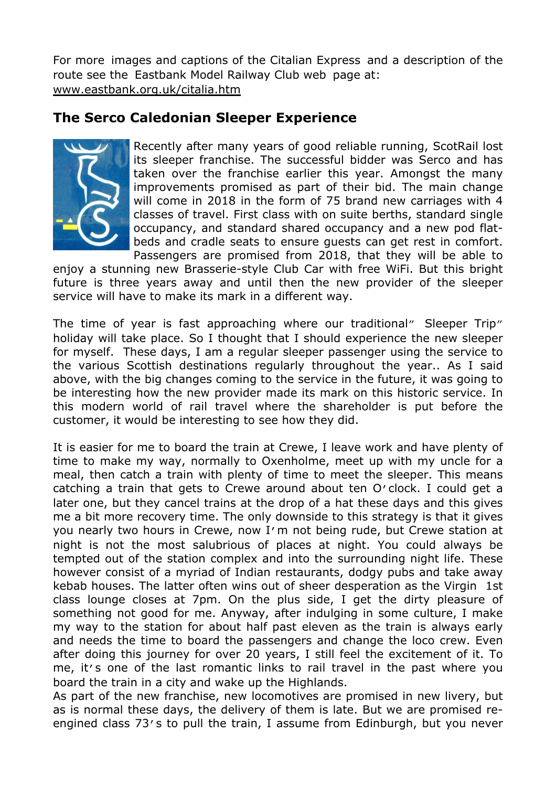For more images and captions of the Citalian Express and a description of the route see the Eastbank Model Railway Club web page at: [www.eastbank.org.uk/citalia.htm](http://www.eastbank.org.uk/citalia.htm)

# **The Serco Caledonian Sleeper Experience**



Recently after many years of good reliable running, ScotRail lost its sleeper franchise. The successful bidder was Serco and has taken over the franchise earlier this year. Amongst the many improvements promised as part of their bid. The main change will come in 2018 in the form of 75 brand new carriages with 4 classes of travel. First class with on suite berths, standard single occupancy, and standard shared occupancy and a new pod flatbeds and cradle seats to ensure guests can get rest in comfort. Passengers are promised from 2018, that they will be able to

enjoy a stunning new Brasserie-style Club Car with free WiFi. But this bright future is three years away and until then the new provider of the sleeper service will have to make its mark in a different way.

The time of year is fast approaching where our traditional" Sleeper Trip" holiday will take place. So I thought that I should experience the new sleeper for myself. These days, I am a regular sleeper passenger using the service to the various Scottish destinations regularly throughout the year.. As I said above, with the big changes coming to the service in the future, it was going to be interesting how the new provider made its mark on this historic service. In this modern world of rail travel where the shareholder is put before the customer, it would be interesting to see how they did.

It is easier for me to board the train at Crewe, I leave work and have plenty of time to make my way, normally to Oxenholme, meet up with my uncle for a meal, then catch a train with plenty of time to meet the sleeper. This means catching a train that gets to Crewe around about ten O'clock. I could get a later one, but they cancel trains at the drop of a hat these days and this gives me a bit more recovery time. The only downside to this strategy is that it gives you nearly two hours in Crewe, now I'm not being rude, but Crewe station at night is not the most salubrious of places at night. You could always be tempted out of the station complex and into the surrounding night life. These however consist of a myriad of Indian restaurants, dodgy pubs and take away kebab houses. The latter often wins out of sheer desperation as the Virgin 1st class lounge closes at 7pm. On the plus side, I get the dirty pleasure of something not good for me. Anyway, after indulging in some culture, I make my way to the station for about half past eleven as the train is always early and needs the time to board the passengers and change the loco crew. Even after doing this journey for over 20 years, I still feel the excitement of it. To me, it's one of the last romantic links to rail travel in the past where you board the train in a city and wake up the Highlands.

As part of the new franchise, new locomotives are promised in new livery, but as is normal these days, the delivery of them is late. But we are promised reengined class 73's to pull the train, I assume from Edinburgh, but you never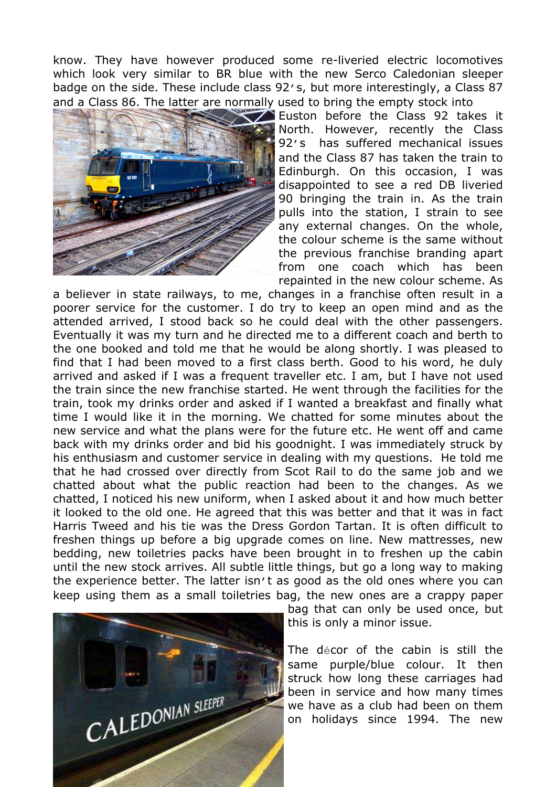know. They have however produced some re-liveried electric locomotives which look very similar to BR blue with the new Serco Caledonian sleeper badge on the side. These include class 92's, but more interestingly, a Class 87 and a Class 86. The latter are normally used to bring the empty stock into



Euston before the Class 92 takes it North. However, recently the Class 92's has suffered mechanical issues and the Class 87 has taken the train to Edinburgh. On this occasion, I was disappointed to see a red DB liveried 90 bringing the train in. As the train pulls into the station, I strain to see any external changes. On the whole, the colour scheme is the same without the previous franchise branding apart from one coach which has been repainted in the new colour scheme. As

a believer in state railways, to me, changes in a franchise often result in a poorer service for the customer. I do try to keep an open mind and as the attended arrived, I stood back so he could deal with the other passengers. Eventually it was my turn and he directed me to a different coach and berth to the one booked and told me that he would be along shortly. I was pleased to find that I had been moved to a first class berth. Good to his word, he duly arrived and asked if I was a frequent traveller etc. I am, but I have not used the train since the new franchise started. He went through the facilities for the train, took my drinks order and asked if I wanted a breakfast and finally what time I would like it in the morning. We chatted for some minutes about the new service and what the plans were for the future etc. He went off and came back with my drinks order and bid his goodnight. I was immediately struck by his enthusiasm and customer service in dealing with my questions. He told me that he had crossed over directly from Scot Rail to do the same job and we chatted about what the public reaction had been to the changes. As we chatted, I noticed his new uniform, when I asked about it and how much better it looked to the old one. He agreed that this was better and that it was in fact Harris Tweed and his tie was the Dress Gordon Tartan. It is often difficult to freshen things up before a big upgrade comes on line. New mattresses, new bedding, new toiletries packs have been brought in to freshen up the cabin until the new stock arrives. All subtle little things, but go a long way to making the experience better. The latter isn't as good as the old ones where you can keep using them as a small toiletries bag, the new ones are a crappy paper



bag that can only be used once, but this is only a minor issue.

The décor of the cabin is still the same purple/blue colour. It then struck how long these carriages had been in service and how many times we have as a club had been on them on holidays since 1994. The new